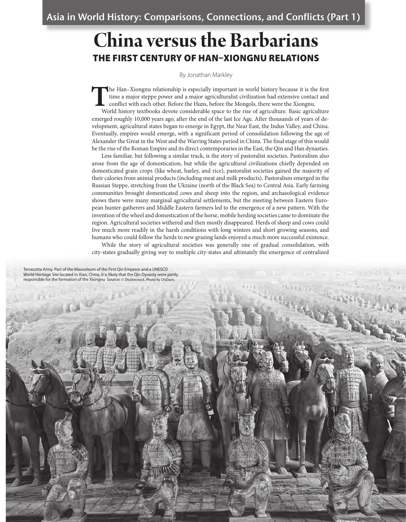# **China versus the Barbarians** THE FIRST CENTURY OF HAN–XIONGNU RELATIONS

By Jonathan Markley

**T**he Han–Xiongnu relationship is especially important in world history because it is the first time a major steppe power and a major agriculturalist civilization had extensive contact and conflict with each other. Before the Huns, before the Mongols, there were the Xiongnu.

World history textbooks devote considerable space to the rise of agriculture. Basic agriculture emerged roughly 10,000 years ago, after the end of the last Ice Age. After thousands of years of development, agricultural states began to emerge in Egypt, the Near East, the Indus Valley, and China. Eventually, empires would emerge, with a significant period of consolidation following the age of Alexander the Great in the West and the Warring States period in China. The final stage of this would be the rise of the Roman Empire and its direct contemporaries in the East, the Qin and Han dynasties.

Less familiar, but following a similar track, is the story of pastoralist societies. Pastoralism also arose from the age of domestication, but while the agricultural civilizations chiefly depended on domesticated grain crops (like wheat, barley, and rice), pastoralist societies gained the majority of their calories from animal products (including meat and milk products). Pastoralism emerged in the Russian Steppe, stretching from the Ukraine (north of the Black Sea) to Central Asia. Early farming communities brought domesticated cows and sheep into the region, and archaeological evidence shows there were many marginal agricultural settlements, but the meeting between Eastern European hunter-gatherers and Middle Eastern farmers led to the emergence of a new pattern. With the invention of the wheel and domestication of the horse, mobile herding societies came to dominate the region. Agricultural societies withered and then mostly disappeared. Herds of sheep and cows could live much more readily in the harsh conditions with long winters and short growing seasons, and humans who could follow the herds to new grazing lands enjoyed a much more successful existence. While the story of agricultural societies was generally one of gradual consolidation, with

city-states gradually giving way to multiple city-states and ultimately the emergence of centralized

Terracotta Army. Part of the Mausoleum of the First Qin Emperor and a UNESCO World Heritage Site located in Xian, China. It is likely that the Qin Dynasty were partly responsible for the formation of the Xiongnu Source: © Shutterstock. Photo by DnDavis.

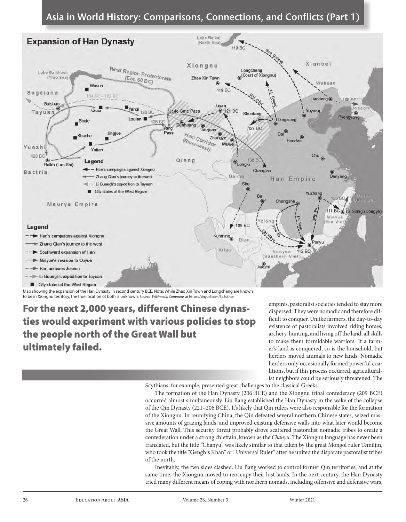

Map showing the expansion of the Han Dynasty in second century BCE. Note: While Zhao Xin Town and Longcheng are known to be in Xiongnu territory, the true location of both is unknown. Source: *Wikimedia Commons* at https://tinyurl.com/3c5skhtv.

For the next 2,000 years, different Chinese dynasties would experiment with various policies to stop the people north of the Great Wall but ultimately failed.

empires, pastoralist societies tended to stay more dispersed. They were nomadic and therefore difficult to conquer. Unlike farmers, the day-to-day existence of pastoralists involved riding horses, archery, hunting, and living off the land, all skills to make them formidable warriors. If a farmer's land is conquered, so is the household, but herders moved animals to new lands. Nomadic herders only occasionally formed powerful coalitions, but if this process occurred, agriculturalist neighbors could be seriously threatened. The

Scythians, for example, presented great challenges to the classical Greeks.

The formation of the Han Dynasty (206 BCE) and the Xiongnu tribal confederacy (209 BCE) occurred almost simultaneously. Liu Bang established the Han Dynasty in the wake of the collapse of the Qin Dynasty (221–206 BCE). It's likely that Qin rulers were also responsible for the formation of the Xiongnu. In reunifying China, the Qin defeated several northern Chinese states, seized massive amounts of grazing lands, and improved existing defensive walls into what later would become the Great Wall. This security threat probably drove scattered pastoralist nomadic tribes to create a confederation under a strong chieftain, known as the *Chanyu*. The Xiongnu language has never been translated, but the title "Chanyu" was likely similar to that taken by the great Mongol ruler Temüjin, who took the title "Genghis Khan" or "Universal Ruler" after he united the disparate pastoralist tribes of the north.

Inevitably, the two sides clashed. Liu Bang worked to control former Qin territories, and at the same time, the Xiongnu moved to reoccupy their lost lands. In the next century, the Han Dynasty tried many different means of coping with northern nomads, including offensive and defensive wars,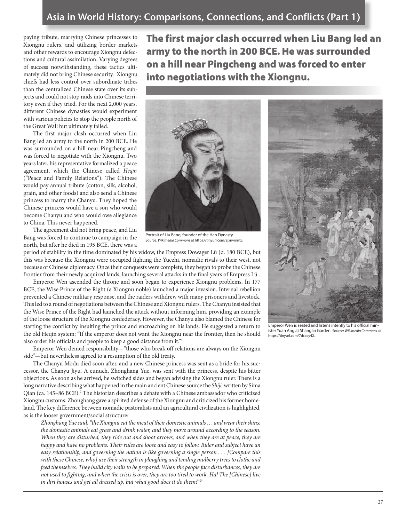paying tribute, marrying Chinese princesses to Xiongnu rulers, and utilizing border markets and other rewards to encourage Xiongnu defections and cultural assimilation. Varying degrees of success notwithstanding, these tactics ultimately did not bring Chinese security. Xiongnu chiefs had less control over subordinate tribes than the centralized Chinese state over its subjects and could not stop raids into Chinese territory even if they tried. For the next 2,000 years, different Chinese dynasties would experiment with various policies to stop the people north of the Great Wall but ultimately failed.

The first major clash occurred when Liu Bang led an army to the north in 200 BCE. He was surrounded on a hill near Pingcheng and was forced to negotiate with the Xiongnu. Two years later, his representative formalized a peace agreement, which the Chinese called *Heqin* ("Peace and Family Relations"). The Chinese would pay annual tribute (cotton, silk, alcohol, grain, and other foods) and also send a Chinese princess to marry the Chanyu. They hoped the Chinese princess would have a son who would become Chanyu and who would owe allegiance to China. This never happened.

The agreement did not bring peace, and Liu Bang was forced to continue to campaign in the north, but after he died in 195 BCE, there was a The first major clash occurred when Liu Bang led an army to the north in 200 BCE. He was surrounded on a hill near Pingcheng and was forced to enter into negotiations with the Xiongnu.



Portrait of Liu Bang, founder of the Han Dynasty. Source: *Wikimedia Commons* at https://tinyurl.com/2jxnvmmx.

period of stability in the time dominated by his widow, the Empress Dowager Lü (d. 180 BCE), but this was because the Xiongnu were occupied fighting the Yuezhi, nomadic rivals to their west, not because of Chinese diplomacy. Once their conquests were complete, they began to probe the Chinese frontier from their newly acquired lands, launching several attacks in the final years of Empress Lü .

Emperor Wen ascended the throne and soon began to experience Xiongnu problems. In 177 BCE, the Wise Prince of the Right (a Xiongnu noble) launched a major invasion. Internal rebellion prevented a Chinese military response, and the raiders withdrew with many prisoners and livestock. This led to a round of negotiations between the Chinese and Xiongnu rulers. The Chanyu insisted that the Wise Prince of the Right had launched the attack without informing him, providing an example of the loose structure of the Xiongnu confederacy. However, the Chanyu also blamed the Chinese for starting the conflict by insulting the prince and encroaching on his lands. He suggested a return to the old Heqin system: "If the emperor does not want the Xiongnu near the frontier, then he should also order his officials and people to keep a good distance from it."1

Emperor Wen denied responsibility—"those who break off relations are always on the Xiongnu side"—but nevertheless agreed to a resumption of the old treaty.

The Chanyu Modu died soon after, and a new Chinese princess was sent as a bride for his successor, the Chanyu Jiyu. A eunuch, Zhonghang Yue, was sent with the princess, despite his bitter objections. As soon as he arrived, he switched sides and began advising the Xiongnu ruler. There is a long narrative describing what happened in the main ancient Chinese source the *Shiji,* written by Sima Qian (ca. 145-86 BCE).<sup>2</sup> The historian describes a debate with a Chinese ambassador who criticized Xiongnu customs. Zhonghang gave a spirited defense of the Xiongnu and criticized his former homeland. The key difference between nomadic pastoralists and an agricultural civilization is highlighted, as is the looser government/social structure:

*Zhonghang Yue said, "the Xiongnu eat the meat of their domestic animals . . . and wear their skins; the domestic animals eat grass and drink water, and they move around according to the season. When they are disturbed, they ride out and shoot arrows, and when they are at peace, they are happy and have no problems. Their rules are loose and easy to follow. Ruler and subject have an easy relationship, and governing the nation is like governing a single person . . . [Compare this with these Chinese, who] use their strength in ploughing and tending mulberry trees to clothe and feed themselves. They build city walls to be prepared. When the people face disturbances, they are not used to fighting, and when the crisis is over, they are too tired to work. Ha! The [Chinese] live in dirt houses and get all dressed up, but what good does it do them?"*<sup>3</sup>



Emperor Wen is seated and listens intently to his official minister Yuan Ang at Shanglin Garden. Source: *Wikimedia Commons* at https://tinyurl.com/7dcaey42.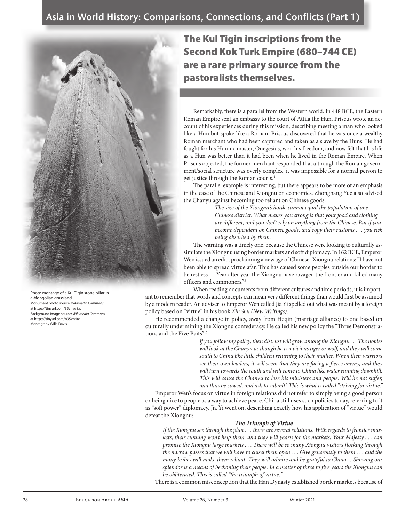

Photo montage of a Kul Tigin stone pillar in a Mongolian grassland. Monument photo source: *Wikimedia Commons* at https://tinyurl.com/35cnvu8x. Background image source: *Wikimedia Commons*  at https://tinyurl.com/p95vp4tz. Montage by Willa Davis.

## The Kul Tigin inscriptions from the Second Kok Turk Empire (680–744 CE) are a rare primary source from the pastoralists themselves.

Remarkably, there is a parallel from the Western world. In 448 BCE, the Eastern Roman Empire sent an embassy to the court of Attila the Hun. Priscus wrote an account of his experiences during this mission, describing meeting a man who looked like a Hun but spoke like a Roman. Priscus discovered that he was once a wealthy Roman merchant who had been captured and taken as a slave by the Huns. He had fought for his Hunnic master, Onegesius, won his freedom, and now felt that his life as a Hun was better than it had been when he lived in the Roman Empire. When Priscus objected, the former merchant responded that although the Roman government/social structure was overly complex, it was impossible for a normal person to get justice through the Roman courts.4

The parallel example is interesting, but there appears to be more of an emphasis in the case of the Chinese and Xiongnu on economics. Zhonghang Yue also advised the Chanyu against becoming too reliant on Chinese goods:

*The size of the Xiongnu's horde cannot equal the population of one Chinese district. What makes you strong is that your food and clothing are different, and you don't rely on anything from the Chinese. But if you become dependent on Chinese goods, and copy their customs . . . you risk being absorbed by them.*

The warning was a timely one, because the Chinese were looking to culturally assimilate the Xiongnu using border markets and soft diplomacy. In 162 BCE, Emperor Wen issued an edict proclaiming a new age of Chinese–Xiongnu relations: "I have not been able to spread virtue afar. This has caused some peoples outside our border to be restless … Year after year the Xiongnu have ravaged the frontier and killed many officers and commoners."5

When reading documents from different cultures and time periods, it is important to remember that words and concepts can mean very different things than would first be assumed by a modern reader. An adviser to Emperor Wen called Jia Yi spelled out what was meant by a foreign policy based on "virtue" in his book *Xin Shu (New Writings)*.

He recommended a change in policy, away from Heqin (marriage alliance) to one based on culturally undermining the Xiongnu confederacy. He called his new policy the "Three Demonstrations and the Five Baits":6

> *If you follow my policy, then distrust will grow among the Xiongnu . . . The nobles*  will look at the Chanyu as though he is a vicious tiger or wolf, and they will come *south to China like little children returning to their mother. When their warriors see their own leaders, it will seem that they are facing a fierce enemy, and they will turn towards the south and will come to China like water running downhill. This will cause the Chanyu to lose his ministers and people. Will he not suffer, and thus be cowed, and ask to submit? This is what is called "striving for virtue."*

Emperor Wen's focus on virtue in foreign relations did not refer to simply being a good person or being nice to people as a way to achieve peace. China still uses such policies today,referring to it as "soft power" diplomacy. Jia Yi went on, describing exactly how his application of "virtue" would defeat the Xiongnu:

#### *The Triumph of Virtue*

*If the Xiongnu see through the plan . . . there are several solutions. With regards to frontier markets, their cunning won't help them, and they will yearn for the markets. Your Majesty . . . can promise the Xiongnu large markets . . . There will be so many Xiongnu visitors flocking through the narrow passes that we will have to chisel them open . . . Give generously to them . . . and the many bribes will make them reliant. They will admire and be grateful to China… Showing our splendor is a means of beckoning their people. In a matter of three to five years the Xiongnu can be obliterated. This is called "the triumph of virtue."*

There is a common misconception that the Han Dynasty established border markets because of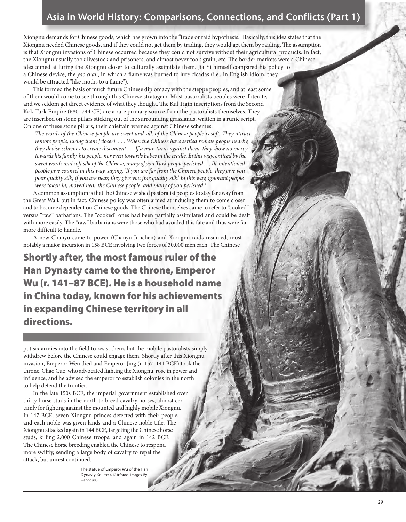Xiongnu demands for Chinese goods, which has grown into the "trade or raid hypothesis." Basically, this idea states that the Xiongnu needed Chinese goods, and if they could not get them by trading, they would get them by raiding. The assumption is that Xiongnu invasions of Chinese occurred because they could not survive without their agricultural products. In fact, the Xiongnu usually took livestock and prisoners, and almost never took grain, etc. The border markets were a Chinese idea aimed at luring the Xiongnu closer to culturally assimilate them. Jia Yi himself compared his policy to a Chinese device, the *yao chan*, in which a flame was burned to lure cicadas (i.e., in English idiom, they would be attracted "like moths to a flame").

This formed the basis of much future Chinese diplomacy with the steppe peoples, and at least some of them would come to see through this Chinese stratagem. Most pastoralists peoples were illiterate, and we seldom get direct evidence of what they thought. The Kul Tigin inscriptions from the Second Kok Turk Empire (680–744 CE) are a rare primary source from the pastoralists themselves. They are inscribed on stone pillars sticking out of the surrounding grasslands, written in a runic script. On one of these stone pillars, their chieftain warned against Chinese schemes:

*The words of the Chinese people are sweet and silk of the Chinese people is soft. They attract remote people, luring them [closer]. . . . When the Chinese have settled remote people nearby, they devise schemes to create discontent . . . If a man turns against them, they show no mercy towards his family, his people, nor even towards babes in the cradle. In this way, enticed by the sweet words and soft silk of the Chinese, many of you Turk people perished . . . Ill-intentioned people give counsel in this way, saying, 'If you are far from the Chinese people, they give you poor quality silk; if you are near, they give you fine quality silk.' In this way, ignorant people were taken in, moved near the Chinese people, and many of you perished.*<sup>7</sup>

A common assumption is that the Chinese wished pastoralist peoples to stay far away from the Great Wall, but in fact, Chinese policy was often aimed at inducing them to come closer and to become dependent on Chinese goods. The Chinese themselves came to refer to "cooked" versus "raw" barbarians. The "cooked" ones had been partially assimilated and could be dealt with more easily. The "raw" barbarians were those who had avoided this fate and thus were far more difficult to handle.

A new Chanyu came to power (Chanyu Junchen) and Xiongnu raids resumed, most notably a major incursion in 158 BCE involving two forces of 30,000 men each. The Chinese

Shortly after, the most famous ruler of the Han Dynasty came to the throne, Emperor Wu (r. 141–87 BCE). He is a household name in China today, known for his achievements in expanding Chinese territory in all directions.

put six armies into the field to resist them, but the mobile pastoralists simply withdrew before the Chinese could engage them. Shortly after this Xiongnu invasion, Emperor Wen died and Emperor Jing (r. 157–141 BCE) took the throne. Chao Cuo, who advocated fighting the Xiongnu, rose in power and influence, and he advised the emperor to establish colonies in the north to help defend the frontier.

In the late 150s BCE, the imperial government established over thirty horse studs in the north to breed cavalry horses, almost certainly for fighting against the mounted and highly mobile Xiongnu. In 147 BCE, seven Xiongnu princes defected with their people, and each noble was given lands and a Chinese noble title. The Xiongnu attacked again in 144 BCE, targeting the Chinese horse studs, killing 2,000 Chinese troops, and again in 142 BCE. The Chinese horse breeding enabled the Chinese to respond more swiftly, sending a large body of cavalry to repel the attack, but unrest continued.

> The statue of Emperor Wu of the Han Dynasty. Source: ©123rf stock images. By wangdu88.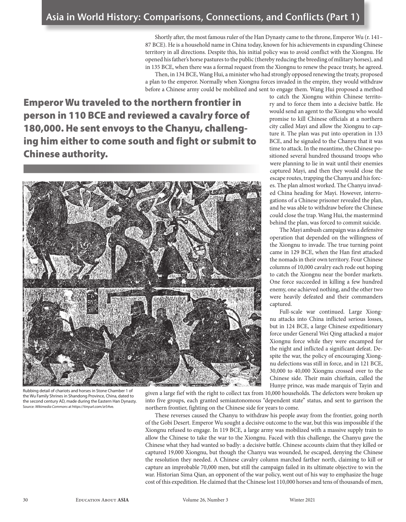Shortly after, the most famous ruler of the Han Dynasty came to the throne, Emperor Wu (r. 141– 87 BCE). He is a household name in China today, known for his achievements in expanding Chinese territory in all directions. Despite this, his initial policy was to avoid conflict with the Xiongnu. He opened his father's horse pastures to the public (thereby reducing the breeding of military horses), and in 135 BCE, when there was a formal request from the Xiongnu to renew the peace treaty, he agreed.

Then, in 134 BCE, Wang Hui, a minister who had strongly opposed renewing the treaty, proposed a plan to the emperor. Normally when Xiongnu forces invaded in the empire, they would withdraw before a Chinese army could be mobilized and sent to engage them. Wang Hui proposed a method

Emperor Wu traveled to the northern frontier in person in 110 BCE and reviewed a cavalry force of 180,000. He sent envoys to the Chanyu, challenging him either to come south and fight or submit to Chinese authority.



Rubbing detail of chariots and horses in Stone Chamber 1 of the Wu Family Shrines in Shandong Province, China, dated to the second century AD, made during the Eastern Han Dynasty. Source: *Wikimedia Commons* at https://tinyurl.com/zr54ve.

to catch the Xiongnu within Chinese territory and to force them into a decisive battle. He would send an agent to the Xiongnu who would promise to kill Chinese officials at a northern city called Mayi and allow the Xiongnu to capture it. The plan was put into operation in 133 BCE, and he signaled to the Chanyu that it was time to attack. In the meantime, the Chinese positioned several hundred thousand troops who were planning to lie in wait until their enemies captured Mayi, and then they would close the escape routes, trapping the Chanyu and his forces. The plan almost worked. The Chanyu invaded China heading for Mayi. However, interrogations of a Chinese prisoner revealed the plan, and he was able to withdraw before the Chinese could close the trap. Wang Hui, the mastermind behind the plan, was forced to commit suicide.

The Mayi ambush campaign was a defensive operation that depended on the willingness of the Xiongnu to invade. The true turning point came in 129 BCE, when the Han first attacked the nomads in their own territory. Four Chinese columns of 10,000 cavalry each rode out hoping to catch the Xiongnu near the border markets. One force succeeded in killing a few hundred enemy, one achieved nothing, and the other two were heavily defeated and their commanders captured.

Full-scale war continued. Large Xiongnu attacks into China inflicted serious losses, but in 124 BCE, a large Chinese expeditionary force under General Wei Qing attacked a major Xiongnu force while they were encamped for the night and inflicted a significant defeat. Despite the war, the policy of encouraging Xiongnu defections was still in force, and in 121 BCE, 30,000 to 40,000 Xiongnu crossed over to the Chinese side. Their main chieftain, called the Hunye prince, was made marquis of Tayin and

given a large fief with the right to collect tax from 10,000 households. The defectors were broken up into five groups, each granted semiautonomous "dependent state" status, and sent to garrison the northern frontier, fighting on the Chinese side for years to come.

These reverses caused the Chanyu to withdraw his people away from the frontier, going north of the Gobi Desert. Emperor Wu sought a decisive outcome to the war, but this was impossible if the Xiongnu refused to engage. In 119 BCE, a large army was mobilized with a massive supply train to allow the Chinese to take the war to the Xiongnu. Faced with this challenge, the Chanyu gave the Chinese what they had wanted so badly: a decisive battle. Chinese accounts claim that they killed or captured 19,000 Xiongnu, but though the Chanyu was wounded, he escaped, denying the Chinese the resolution they needed. A Chinese cavalry column marched farther north, claiming to kill or capture an improbable 70,000 men, but still the campaign failed in its ultimate objective to win the war. Historian Sima Qian, an opponent of the war policy, went out of his way to emphasize the huge cost of this expedition. He claimed that the Chinese lost 110,000 horses and tens of thousands of men,